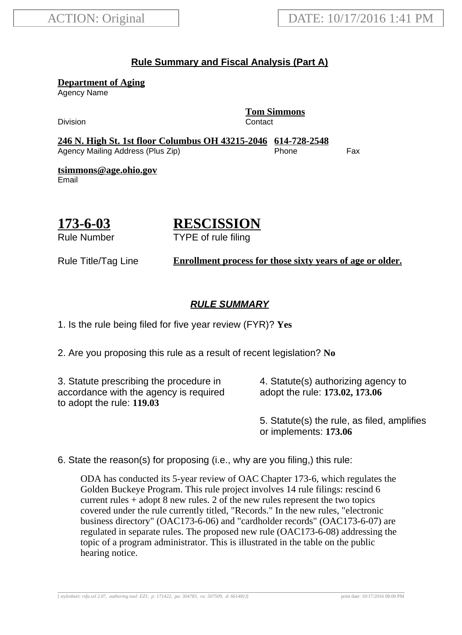#### **Rule Summary and Fiscal Analysis (Part A)**

**Department of Aging**

Agency Name

Division Contact

**Tom Simmons**

**246 N. High St. 1st floor Columbus OH 43215-2046 614-728-2548** Agency Mailing Address (Plus Zip) entitled the Phone Fax

**tsimmons@age.ohio.gov** Email

# **173-6-03**

# **RESCISSION**

Rule Number

TYPE of rule filing

Rule Title/Tag Line **Enrollment process for those sixty years of age or older.**

## **RULE SUMMARY**

1. Is the rule being filed for five year review (FYR)? **Yes**

2. Are you proposing this rule as a result of recent legislation? **No**

3. Statute prescribing the procedure in accordance with the agency is required to adopt the rule: **119.03**

4. Statute(s) authorizing agency to adopt the rule: **173.02, 173.06**

5. Statute(s) the rule, as filed, amplifies or implements: **173.06**

6. State the reason(s) for proposing (i.e., why are you filing,) this rule:

ODA has conducted its 5-year review of OAC Chapter 173-6, which regulates the Golden Buckeye Program. This rule project involves 14 rule filings: rescind 6 current rules + adopt 8 new rules. 2 of the new rules represent the two topics covered under the rule currently titled, "Records." In the new rules, "electronic business directory" (OAC173-6-06) and "cardholder records" (OAC173-6-07) are regulated in separate rules. The proposed new rule (OAC173-6-08) addressing the topic of a program administrator. This is illustrated in the table on the public hearing notice.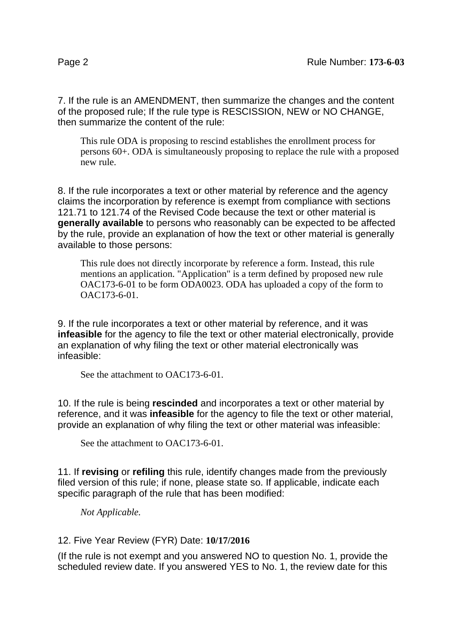7. If the rule is an AMENDMENT, then summarize the changes and the content of the proposed rule; If the rule type is RESCISSION, NEW or NO CHANGE, then summarize the content of the rule:

This rule ODA is proposing to rescind establishes the enrollment process for persons 60+. ODA is simultaneously proposing to replace the rule with a proposed new rule.

8. If the rule incorporates a text or other material by reference and the agency claims the incorporation by reference is exempt from compliance with sections 121.71 to 121.74 of the Revised Code because the text or other material is **generally available** to persons who reasonably can be expected to be affected by the rule, provide an explanation of how the text or other material is generally available to those persons:

This rule does not directly incorporate by reference a form. Instead, this rule mentions an application. "Application" is a term defined by proposed new rule OAC173-6-01 to be form ODA0023. ODA has uploaded a copy of the form to OAC173-6-01.

9. If the rule incorporates a text or other material by reference, and it was **infeasible** for the agency to file the text or other material electronically, provide an explanation of why filing the text or other material electronically was infeasible:

See the attachment to OAC173-6-01.

10. If the rule is being **rescinded** and incorporates a text or other material by reference, and it was **infeasible** for the agency to file the text or other material, provide an explanation of why filing the text or other material was infeasible:

See the attachment to OAC173-6-01.

11. If **revising** or **refiling** this rule, identify changes made from the previously filed version of this rule; if none, please state so. If applicable, indicate each specific paragraph of the rule that has been modified:

*Not Applicable.*

#### 12. Five Year Review (FYR) Date: **10/17/2016**

(If the rule is not exempt and you answered NO to question No. 1, provide the scheduled review date. If you answered YES to No. 1, the review date for this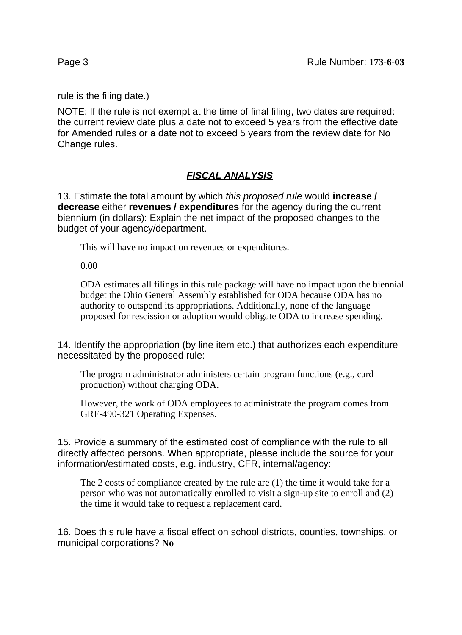rule is the filing date.)

NOTE: If the rule is not exempt at the time of final filing, two dates are required: the current review date plus a date not to exceed 5 years from the effective date for Amended rules or a date not to exceed 5 years from the review date for No Change rules.

## **FISCAL ANALYSIS**

13. Estimate the total amount by which this proposed rule would **increase / decrease** either **revenues / expenditures** for the agency during the current biennium (in dollars): Explain the net impact of the proposed changes to the budget of your agency/department.

This will have no impact on revenues or expenditures.

0.00

ODA estimates all filings in this rule package will have no impact upon the biennial budget the Ohio General Assembly established for ODA because ODA has no authority to outspend its appropriations. Additionally, none of the language proposed for rescission or adoption would obligate ODA to increase spending.

14. Identify the appropriation (by line item etc.) that authorizes each expenditure necessitated by the proposed rule:

The program administrator administers certain program functions (e.g., card production) without charging ODA.

However, the work of ODA employees to administrate the program comes from GRF-490-321 Operating Expenses.

15. Provide a summary of the estimated cost of compliance with the rule to all directly affected persons. When appropriate, please include the source for your information/estimated costs, e.g. industry, CFR, internal/agency:

The 2 costs of compliance created by the rule are (1) the time it would take for a person who was not automatically enrolled to visit a sign-up site to enroll and (2) the time it would take to request a replacement card.

16. Does this rule have a fiscal effect on school districts, counties, townships, or municipal corporations? **No**